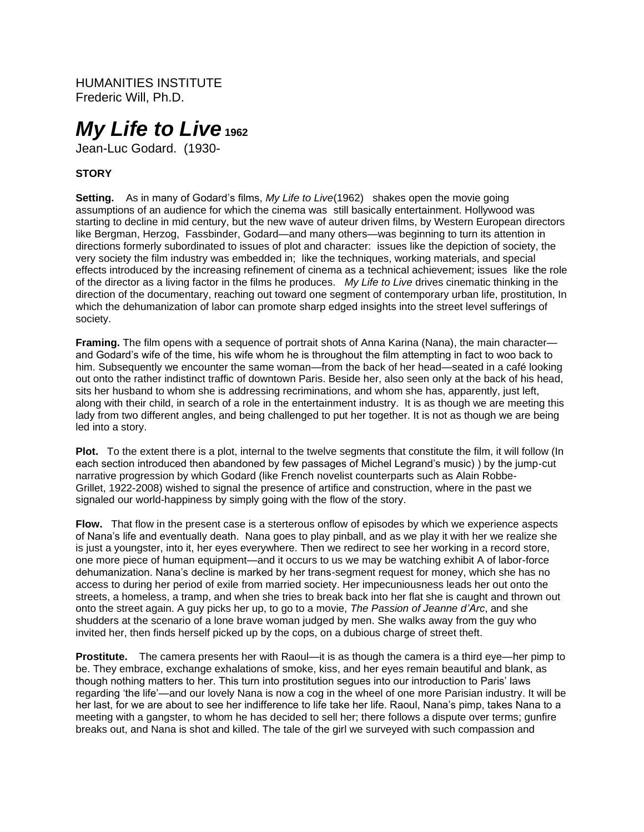HUMANITIES INSTITUTE Frederic Will, Ph.D.

# *My Life to Live* **<sup>1962</sup>**

Jean-Luc Godard. (1930-

# **STORY**

**Setting.** As in many of Godard's films, *My Life to Live*(1962) shakes open the movie going assumptions of an audience for which the cinema was still basically entertainment. Hollywood was starting to decline in mid century, but the new wave of auteur driven films, by Western European directors like Bergman, Herzog, Fassbinder, Godard—and many others—was beginning to turn its attention in directions formerly subordinated to issues of plot and character: issues like the depiction of society, the very society the film industry was embedded in; like the techniques, working materials, and special effects introduced by the increasing refinement of cinema as a technical achievement; issues like the role of the director as a living factor in the films he produces. *My Life to Live* drives cinematic thinking in the direction of the documentary, reaching out toward one segment of contemporary urban life, prostitution, In which the dehumanization of labor can promote sharp edged insights into the street level sufferings of society.

**Framing.** The film opens with a sequence of portrait shots of Anna Karina (Nana), the main character and Godard's wife of the time, his wife whom he is throughout the film attempting in fact to woo back to him. Subsequently we encounter the same woman—from the back of her head—seated in a café looking out onto the rather indistinct traffic of downtown Paris. Beside her, also seen only at the back of his head, sits her husband to whom she is addressing recriminations, and whom she has, apparently, just left, along with their child, in search of a role in the entertainment industry. It is as though we are meeting this lady from two different angles, and being challenged to put her together. It is not as though we are being led into a story.

**Plot.** To the extent there is a plot, internal to the twelve segments that constitute the film, it will follow (In each section introduced then abandoned by few passages of Michel Legrand's music) ) by the jump-cut narrative progression by which Godard (like French novelist counterparts such as Alain Robbe-Grillet, 1922-2008) wished to signal the presence of artifice and construction, where in the past we signaled our world-happiness by simply going with the flow of the story.

**Flow.** That flow in the present case is a sterterous onflow of episodes by which we experience aspects of Nana's life and eventually death. Nana goes to play pinball, and as we play it with her we realize she is just a youngster, into it, her eyes everywhere. Then we redirect to see her working in a record store, one more piece of human equipment—and it occurs to us we may be watching exhibit A of labor-force dehumanization. Nana's decline is marked by her trans-segment request for money, which she has no access to during her period of exile from married society. Her impecuniousness leads her out onto the streets, a homeless, a tramp, and when she tries to break back into her flat she is caught and thrown out onto the street again. A guy picks her up, to go to a movie, *The Passion of Jeanne d'Arc*, and she shudders at the scenario of a lone brave woman judged by men. She walks away from the guy who invited her, then finds herself picked up by the cops, on a dubious charge of street theft.

**Prostitute.** The camera presents her with Raoul—it is as though the camera is a third eye—her pimp to be. They embrace, exchange exhalations of smoke, kiss, and her eyes remain beautiful and blank, as though nothing matters to her. This turn into prostitution segues into our introduction to Paris' laws regarding 'the life'—and our lovely Nana is now a cog in the wheel of one more Parisian industry. It will be her last, for we are about to see her indifference to life take her life. Raoul, Nana's pimp, takes Nana to a meeting with a gangster, to whom he has decided to sell her; there follows a dispute over terms; gunfire breaks out, and Nana is shot and killed. The tale of the girl we surveyed with such compassion and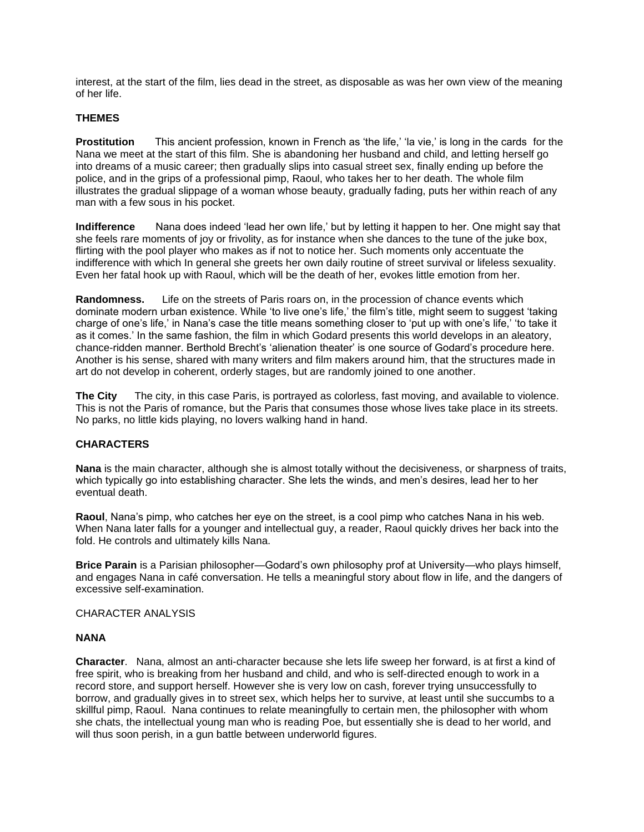interest, at the start of the film, lies dead in the street, as disposable as was her own view of the meaning of her life.

# **THEMES**

**Prostitution** This ancient profession, known in French as 'the life,' 'la vie,' is long in the cards for the Nana we meet at the start of this film. She is abandoning her husband and child, and letting herself go into dreams of a music career; then gradually slips into casual street sex, finally ending up before the police, and in the grips of a professional pimp, Raoul, who takes her to her death. The whole film illustrates the gradual slippage of a woman whose beauty, gradually fading, puts her within reach of any man with a few sous in his pocket.

**Indifference** Nana does indeed 'lead her own life,' but by letting it happen to her. One might say that she feels rare moments of joy or frivolity, as for instance when she dances to the tune of the juke box, flirting with the pool player who makes as if not to notice her. Such moments only accentuate the indifference with which In general she greets her own daily routine of street survival or lifeless sexuality. Even her fatal hook up with Raoul, which will be the death of her, evokes little emotion from her.

**Randomness.** Life on the streets of Paris roars on, in the procession of chance events which dominate modern urban existence. While 'to live one's life,' the film's title, might seem to suggest 'taking charge of one's life,' in Nana's case the title means something closer to 'put up with one's life,' 'to take it as it comes.' In the same fashion, the film in which Godard presents this world develops in an aleatory, chance-ridden manner. Berthold Brecht's 'alienation theater' is one source of Godard's procedure here. Another is his sense, shared with many writers and film makers around him, that the structures made in art do not develop in coherent, orderly stages, but are randomly joined to one another.

**The City** The city, in this case Paris, is portrayed as colorless, fast moving, and available to violence. This is not the Paris of romance, but the Paris that consumes those whose lives take place in its streets. No parks, no little kids playing, no lovers walking hand in hand.

# **CHARACTERS**

**Nana** is the main character, although she is almost totally without the decisiveness, or sharpness of traits, which typically go into establishing character. She lets the winds, and men's desires, lead her to her eventual death.

**Raoul**, Nana's pimp, who catches her eye on the street, is a cool pimp who catches Nana in his web. When Nana later falls for a younger and intellectual guy, a reader, Raoul quickly drives her back into the fold. He controls and ultimately kills Nana.

**Brice Parain** is a Parisian philosopher—Godard's own philosophy prof at University—who plays himself, and engages Nana in café conversation. He tells a meaningful story about flow in life, and the dangers of excessive self-examination.

CHARACTER ANALYSIS

### **NANA**

**Character**. Nana, almost an anti-character because she lets life sweep her forward, is at first a kind of free spirit, who is breaking from her husband and child, and who is self-directed enough to work in a record store, and support herself. However she is very low on cash, forever trying unsuccessfully to borrow, and gradually gives in to street sex, which helps her to survive, at least until she succumbs to a skillful pimp, Raoul. Nana continues to relate meaningfully to certain men, the philosopher with whom she chats, the intellectual young man who is reading Poe, but essentially she is dead to her world, and will thus soon perish, in a gun battle between underworld figures.